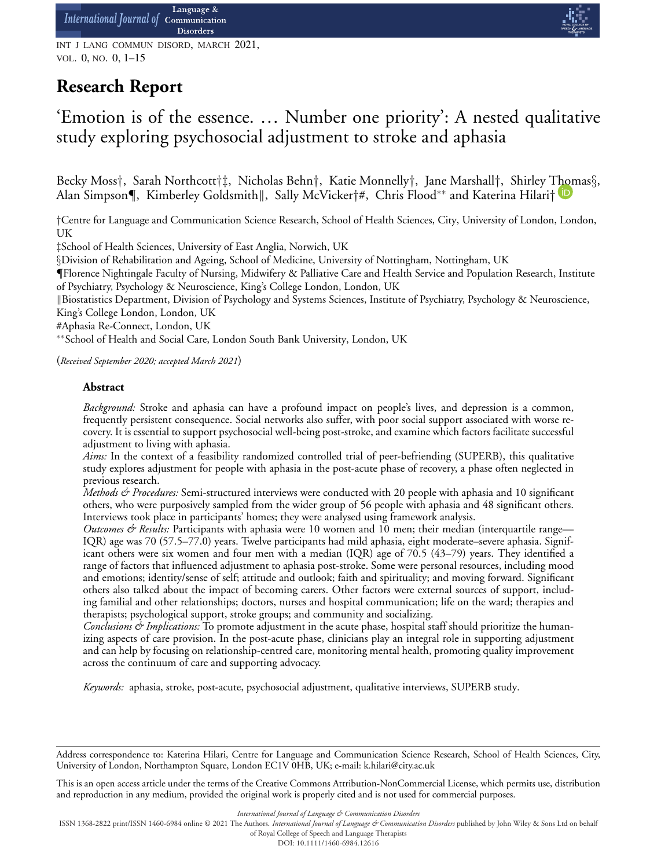INT J LANG COMMUN DISORD, MARCH 2021, VOL. 0, NO. 0, 1–15

# **Research Report**



# 'Emotion is of the essence. … Number one priority': A nested qualitative study exploring psychosocial adjustment to stroke and aphasia

Becky Moss*†*, Sarah Northcott*†‡*, Nicholas Behn*†*, Katie Monnelly*†*, Jane Marshall*†*, Shirley [Thom](https://orcid.org/0000-0003-2091-4849)as*§*, Alan Simpson*¶*, Kimberley Goldsmith-, Sally McVicker*†*#, Chris Flood∗∗ and Katerina Hilari*†*

*†*Centre for Language and Communication Science Research, School of Health Sciences, City, University of London, London, UK

*‡*School of Health Sciences, University of East Anglia, Norwich, UK

*§*Division of Rehabilitation and Ageing, School of Medicine, University of Nottingham, Nottingham, UK

*¶*Florence Nightingale Faculty of Nursing, Midwifery & Palliative Care and Health Service and Population Research, Institute of Psychiatry, Psychology & Neuroscience, King's College London, London, UK

-Biostatistics Department, Division of Psychology and Systems Sciences, Institute of Psychiatry, Psychology & Neuroscience, King's College London, London, UK

#Aphasia Re-Connect, London, UK

∗∗School of Health and Social Care, London South Bank University, London, UK

(*Received September 2020; accepted March 2021*)

# **Abstract**

*Background:* Stroke and aphasia can have a profound impact on people's lives, and depression is a common, frequently persistent consequence. Social networks also suffer, with poor social support associated with worse recovery. It is essential to support psychosocial well-being post-stroke, and examine which factors facilitate successful adjustment to living with aphasia.

*Aims:* In the context of a feasibility randomized controlled trial of peer-befriending (SUPERB), this qualitative study explores adjustment for people with aphasia in the post-acute phase of recovery, a phase often neglected in previous research.

*Methods & Procedures:* Semi-structured interviews were conducted with 20 people with aphasia and 10 significant others, who were purposively sampled from the wider group of 56 people with aphasia and 48 significant others. Interviews took place in participants' homes; they were analysed using framework analysis.

*Outcomes & Results:* Participants with aphasia were 10 women and 10 men; their median (interquartile range— IQR) age was 70 (57.5–77.0) years. Twelve participants had mild aphasia, eight moderate–severe aphasia. Significant others were six women and four men with a median (IQR) age of 70.5 (43–79) years. They identified a range of factors that influenced adjustment to aphasia post-stroke. Some were personal resources, including mood and emotions; identity/sense of self; attitude and outlook; faith and spirituality; and moving forward. Significant others also talked about the impact of becoming carers. Other factors were external sources of support, including familial and other relationships; doctors, nurses and hospital communication; life on the ward; therapies and therapists; psychological support, stroke groups; and community and socializing.

*Conclusions & Implications:* To promote adjustment in the acute phase, hospital staff should prioritize the humanizing aspects of care provision. In the post-acute phase, clinicians play an integral role in supporting adjustment and can help by focusing on relationship-centred care, monitoring mental health, promoting quality improvement across the continuum of care and supporting advocacy.

*Keywords:* aphasia, stroke, post-acute, psychosocial adjustment, qualitative interviews, SUPERB study.

This is an open access article under the terms of the [Creative Commons Attribution-NonCommercial](http://creativecommons.org/licenses/by-nc/4.0/) License, which permits use, distribution and reproduction in any medium, provided the original work is properly cited and is not used for commercial purposes.

*International Journal of Language & Communication Disorders*

ISSN 1368-2822 print/ISSN 1460-6984 online © 2021 The Authors. *International Journal of Language & Communication Disorders* published by John Wiley & Sons Ltd on behalf

of Royal College of Speech and Language Therapists

DOI: 10.1111/1460-6984.12616

Address correspondence to: Katerina Hilari, Centre for Language and Communication Science Research, School of Health Sciences, City, University of London, Northampton Square, London EC1V 0HB, UK; e-mail: k.hilari@city.ac.uk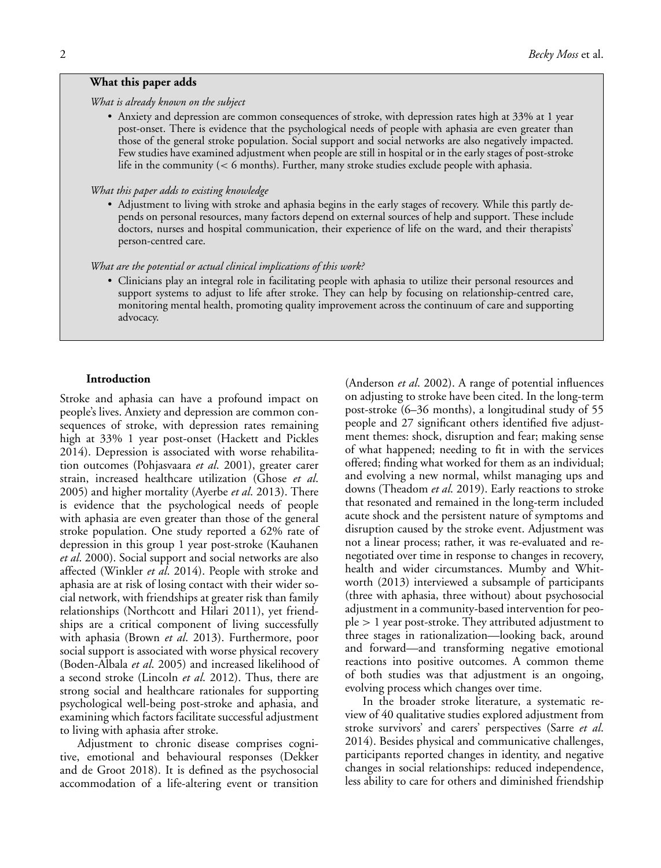### *What is already known on the subject*

• Anxiety and depression are common consequences of stroke, with depression rates high at 33% at 1 year post-onset. There is evidence that the psychological needs of people with aphasia are even greater than those of the general stroke population. Social support and social networks are also negatively impacted. Few studies have examined adjustment when people are still in hospital or in the early stages of post-stroke life in the community (*<* 6 months). Further, many stroke studies exclude people with aphasia.

#### *What this paper adds to existing knowledge*

• Adjustment to living with stroke and aphasia begins in the early stages of recovery. While this partly depends on personal resources, many factors depend on external sources of help and support. These include doctors, nurses and hospital communication, their experience of life on the ward, and their therapists' person-centred care.

#### *What are the potential or actual clinical implications of this work?*

• Clinicians play an integral role in facilitating people with aphasia to utilize their personal resources and support systems to adjust to life after stroke. They can help by focusing on relationship-centred care, monitoring mental health, promoting quality improvement across the continuum of care and supporting advocacy.

#### **Introduction**

Stroke and aphasia can have a profound impact on people's lives. Anxiety and depression are common consequences of stroke, with depression rates remaining high at 33% 1 year post-onset (Hackett and Pickles 2014). Depression is associated with worse rehabilitation outcomes (Pohjasvaara *et al*. 2001), greater carer strain, increased healthcare utilization (Ghose *et al*. 2005) and higher mortality (Ayerbe *et al*. 2013). There is evidence that the psychological needs of people with aphasia are even greater than those of the general stroke population. One study reported a 62% rate of depression in this group 1 year post-stroke (Kauhanen *et al*. 2000). Social support and social networks are also affected (Winkler *et al*. 2014). People with stroke and aphasia are at risk of losing contact with their wider social network, with friendships at greater risk than family relationships (Northcott and Hilari 2011), yet friendships are a critical component of living successfully with aphasia (Brown *et al*. 2013). Furthermore, poor social support is associated with worse physical recovery (Boden-Albala *et al*. 2005) and increased likelihood of a second stroke (Lincoln *et al*. 2012). Thus, there are strong social and healthcare rationales for supporting psychological well-being post-stroke and aphasia, and examining which factors facilitate successful adjustment to living with aphasia after stroke.

Adjustment to chronic disease comprises cognitive, emotional and behavioural responses (Dekker and de Groot 2018). It is defined as the psychosocial accommodation of a life-altering event or transition (Anderson *et al*. 2002). A range of potential influences on adjusting to stroke have been cited. In the long-term post-stroke (6–36 months), a longitudinal study of 55 people and 27 significant others identified five adjustment themes: shock, disruption and fear; making sense of what happened; needing to fit in with the services offered; finding what worked for them as an individual; and evolving a new normal, whilst managing ups and downs (Theadom *et al*. 2019). Early reactions to stroke that resonated and remained in the long-term included acute shock and the persistent nature of symptoms and disruption caused by the stroke event. Adjustment was not a linear process; rather, it was re-evaluated and renegotiated over time in response to changes in recovery, health and wider circumstances. Mumby and Whitworth (2013) interviewed a subsample of participants (three with aphasia, three without) about psychosocial adjustment in a community-based intervention for people *>* 1 year post-stroke. They attributed adjustment to three stages in rationalization—looking back, around and forward—and transforming negative emotional reactions into positive outcomes. A common theme of both studies was that adjustment is an ongoing, evolving process which changes over time.

In the broader stroke literature, a systematic review of 40 qualitative studies explored adjustment from stroke survivors' and carers' perspectives (Sarre *et al*. 2014). Besides physical and communicative challenges, participants reported changes in identity, and negative changes in social relationships: reduced independence, less ability to care for others and diminished friendship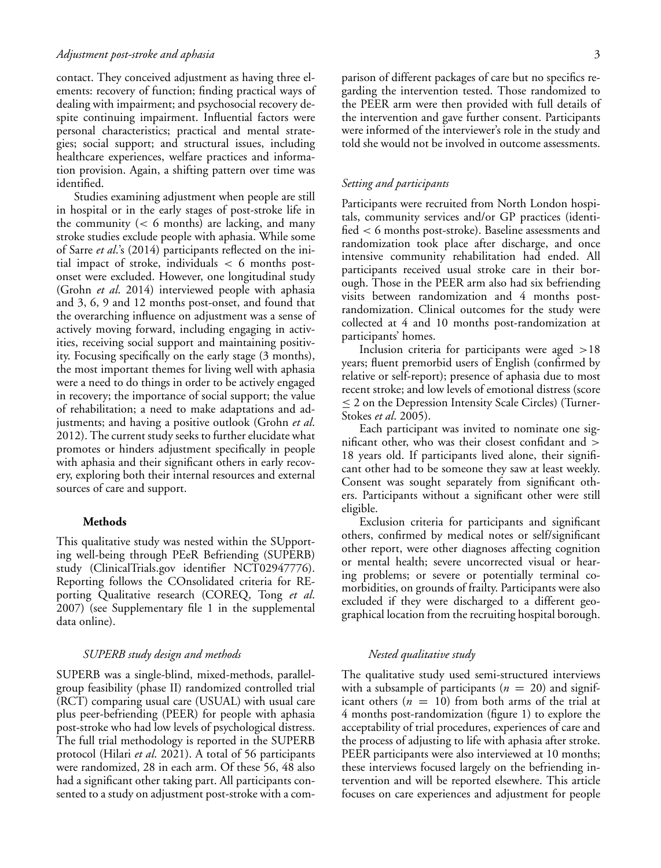### *Adjustment post-stroke and aphasia* 3

contact. They conceived adjustment as having three elements: recovery of function; finding practical ways of dealing with impairment; and psychosocial recovery despite continuing impairment. Influential factors were personal characteristics; practical and mental strategies; social support; and structural issues, including healthcare experiences, welfare practices and information provision. Again, a shifting pattern over time was identified.

Studies examining adjustment when people are still in hospital or in the early stages of post-stroke life in the community (*<* 6 months) are lacking, and many stroke studies exclude people with aphasia. While some of Sarre *et al*.'s (2014) participants reflected on the initial impact of stroke, individuals *<* 6 months postonset were excluded. However, one longitudinal study (Grohn *et al*. 2014) interviewed people with aphasia and 3, 6, 9 and 12 months post-onset, and found that the overarching influence on adjustment was a sense of actively moving forward, including engaging in activities, receiving social support and maintaining positivity. Focusing specifically on the early stage (3 months), the most important themes for living well with aphasia were a need to do things in order to be actively engaged in recovery; the importance of social support; the value of rehabilitation; a need to make adaptations and adjustments; and having a positive outlook (Grohn *et al*. 2012). The current study seeks to further elucidate what promotes or hinders adjustment specifically in people with aphasia and their significant others in early recovery, exploring both their internal resources and external sources of care and support.

#### **Methods**

This qualitative study was nested within the SUpporting well-being through PEeR Befriending (SUPERB) study (ClinicalTrials.gov identifier NCT02947776). Reporting follows the COnsolidated criteria for REporting Qualitative research (COREQ, Tong *et al*. 2007) (see Supplementary file 1 in the supplemental data online).

## *SUPERB study design and methods*

SUPERB was a single-blind, mixed-methods, parallelgroup feasibility (phase II) randomized controlled trial (RCT) comparing usual care (USUAL) with usual care plus peer-befriending (PEER) for people with aphasia post-stroke who had low levels of psychological distress. The full trial methodology is reported in the SUPERB protocol (Hilari *et al*. 2021). A total of 56 participants were randomized, 28 in each arm. Of these 56, 48 also had a significant other taking part. All participants consented to a study on adjustment post-stroke with a comparison of different packages of care but no specifics regarding the intervention tested. Those randomized to the PEER arm were then provided with full details of the intervention and gave further consent. Participants were informed of the interviewer's role in the study and told she would not be involved in outcome assessments.

# *Setting and participants*

Participants were recruited from North London hospitals, community services and/or GP practices (identified *<* 6 months post-stroke). Baseline assessments and randomization took place after discharge, and once intensive community rehabilitation had ended. All participants received usual stroke care in their borough. Those in the PEER arm also had six befriending visits between randomization and 4 months postrandomization. Clinical outcomes for the study were collected at 4 and 10 months post-randomization at participants' homes.

Inclusion criteria for participants were aged *>*18 years; fluent premorbid users of English (confirmed by relative or self-report); presence of aphasia due to most recent stroke; and low levels of emotional distress (score  $\leq$  2 on the Depression Intensity Scale Circles) (Turner-Stokes *et al*. 2005).

Each participant was invited to nominate one significant other, who was their closest confidant and *>* 18 years old. If participants lived alone, their significant other had to be someone they saw at least weekly. Consent was sought separately from significant others. Participants without a significant other were still eligible.

Exclusion criteria for participants and significant others, confirmed by medical notes or self/significant other report, were other diagnoses affecting cognition or mental health; severe uncorrected visual or hearing problems; or severe or potentially terminal comorbidities, on grounds of frailty. Participants were also excluded if they were discharged to a different geographical location from the recruiting hospital borough.

## *Nested qualitative study*

The qualitative study used semi-structured interviews with a subsample of participants ( $n = 20$ ) and significant others  $(n = 10)$  from both arms of the trial at 4 months post-randomization (figure 1) to explore the acceptability of trial procedures, experiences of care and the process of adjusting to life with aphasia after stroke. PEER participants were also interviewed at 10 months; these interviews focused largely on the befriending intervention and will be reported elsewhere. This article focuses on care experiences and adjustment for people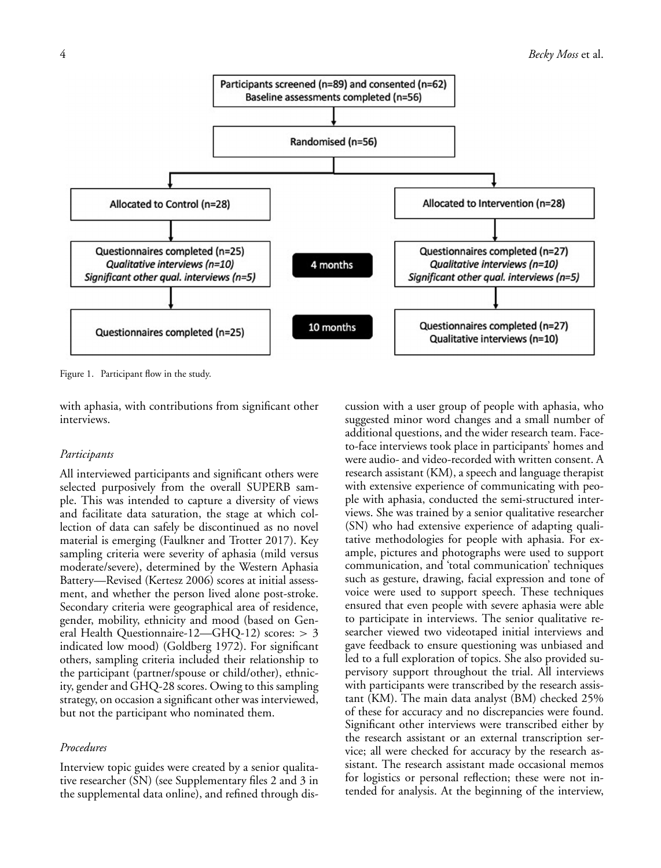

Figure 1. Participant flow in the study.

with aphasia, with contributions from significant other interviews.

#### *Participants*

All interviewed participants and significant others were selected purposively from the overall SUPERB sample. This was intended to capture a diversity of views and facilitate data saturation, the stage at which collection of data can safely be discontinued as no novel material is emerging (Faulkner and Trotter 2017). Key sampling criteria were severity of aphasia (mild versus moderate/severe), determined by the Western Aphasia Battery—Revised (Kertesz 2006) scores at initial assessment, and whether the person lived alone post-stroke. Secondary criteria were geographical area of residence, gender, mobility, ethnicity and mood (based on General Health Questionnaire-12—GHQ-12) scores: *>* 3 indicated low mood) (Goldberg 1972). For significant others, sampling criteria included their relationship to the participant (partner/spouse or child/other), ethnicity, gender and GHQ-28 scores. Owing to this sampling strategy, on occasion a significant other was interviewed, but not the participant who nominated them.

## *Procedures*

Interview topic guides were created by a senior qualitative researcher (SN) (see Supplementary files 2 and 3 in the supplemental data online), and refined through dis-

cussion with a user group of people with aphasia, who suggested minor word changes and a small number of additional questions, and the wider research team. Faceto-face interviews took place in participants' homes and were audio- and video-recorded with written consent. A research assistant (KM), a speech and language therapist with extensive experience of communicating with people with aphasia, conducted the semi-structured interviews. She was trained by a senior qualitative researcher (SN) who had extensive experience of adapting qualitative methodologies for people with aphasia. For example, pictures and photographs were used to support communication, and 'total communication' techniques such as gesture, drawing, facial expression and tone of voice were used to support speech. These techniques ensured that even people with severe aphasia were able to participate in interviews. The senior qualitative researcher viewed two videotaped initial interviews and gave feedback to ensure questioning was unbiased and led to a full exploration of topics. She also provided supervisory support throughout the trial. All interviews with participants were transcribed by the research assistant (KM). The main data analyst (BM) checked 25% of these for accuracy and no discrepancies were found. Significant other interviews were transcribed either by the research assistant or an external transcription service; all were checked for accuracy by the research assistant. The research assistant made occasional memos for logistics or personal reflection; these were not intended for analysis. At the beginning of the interview,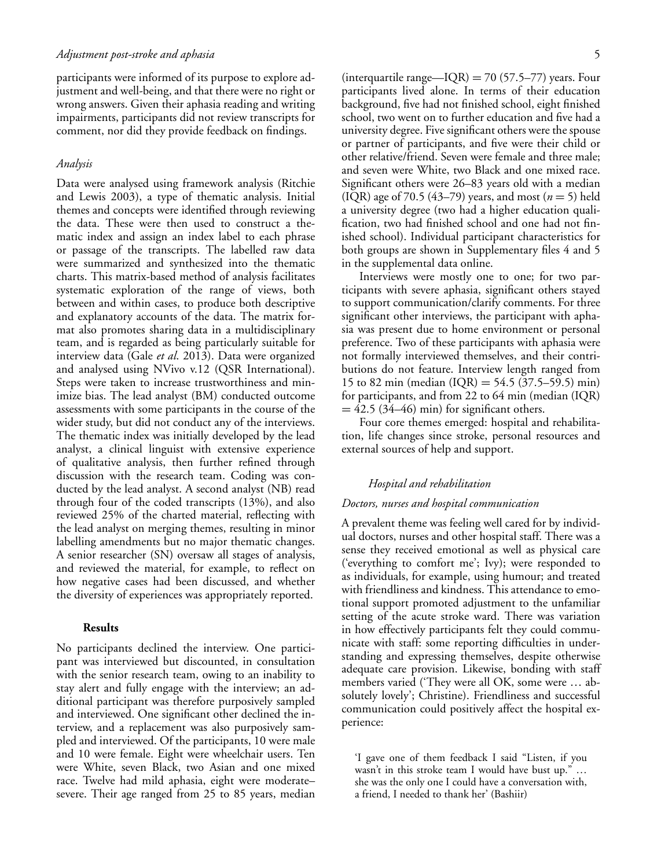participants were informed of its purpose to explore adjustment and well-being, and that there were no right or wrong answers. Given their aphasia reading and writing impairments, participants did not review transcripts for comment, nor did they provide feedback on findings.

#### *Analysis*

Data were analysed using framework analysis (Ritchie and Lewis 2003), a type of thematic analysis. Initial themes and concepts were identified through reviewing the data. These were then used to construct a thematic index and assign an index label to each phrase or passage of the transcripts. The labelled raw data were summarized and synthesized into the thematic charts. This matrix-based method of analysis facilitates systematic exploration of the range of views, both between and within cases, to produce both descriptive and explanatory accounts of the data. The matrix format also promotes sharing data in a multidisciplinary team, and is regarded as being particularly suitable for interview data (Gale *et al*. 2013). Data were organized and analysed using NVivo v.12 (QSR International). Steps were taken to increase trustworthiness and minimize bias. The lead analyst (BM) conducted outcome assessments with some participants in the course of the wider study, but did not conduct any of the interviews. The thematic index was initially developed by the lead analyst, a clinical linguist with extensive experience of qualitative analysis, then further refined through discussion with the research team. Coding was conducted by the lead analyst. A second analyst (NB) read through four of the coded transcripts (13%), and also reviewed 25% of the charted material, reflecting with the lead analyst on merging themes, resulting in minor labelling amendments but no major thematic changes. A senior researcher (SN) oversaw all stages of analysis, and reviewed the material, for example, to reflect on how negative cases had been discussed, and whether the diversity of experiences was appropriately reported.

## **Results**

No participants declined the interview. One participant was interviewed but discounted, in consultation with the senior research team, owing to an inability to stay alert and fully engage with the interview; an additional participant was therefore purposively sampled and interviewed. One significant other declined the interview, and a replacement was also purposively sampled and interviewed. Of the participants, 10 were male and 10 were female. Eight were wheelchair users. Ten were White, seven Black, two Asian and one mixed race. Twelve had mild aphasia, eight were moderate– severe. Their age ranged from 25 to 85 years, median (interquartile range—IQR) = 70 (57.5–77) years. Four participants lived alone. In terms of their education background, five had not finished school, eight finished school, two went on to further education and five had a university degree. Five significant others were the spouse or partner of participants, and five were their child or other relative/friend. Seven were female and three male; and seven were White, two Black and one mixed race. Significant others were 26–83 years old with a median (IQR) age of 70.5 (43–79) years, and most (*n* = 5) held a university degree (two had a higher education qualification, two had finished school and one had not finished school). Individual participant characteristics for both groups are shown in Supplementary files 4 and 5 in the supplemental data online.

Interviews were mostly one to one; for two participants with severe aphasia, significant others stayed to support communication/clarify comments. For three significant other interviews, the participant with aphasia was present due to home environment or personal preference. Two of these participants with aphasia were not formally interviewed themselves, and their contributions do not feature. Interview length ranged from 15 to 82 min (median  $(IQR) = 54.5 (37.5–59.5)$  min) for participants, and from 22 to 64 min (median (IQR)  $= 42.5$  (34–46) min) for significant others.

Four core themes emerged: hospital and rehabilitation, life changes since stroke, personal resources and external sources of help and support.

## *Hospital and rehabilitation*

## *Doctors, nurses and hospital communication*

A prevalent theme was feeling well cared for by individual doctors, nurses and other hospital staff. There was a sense they received emotional as well as physical care ('everything to comfort me'; Ivy); were responded to as individuals, for example, using humour; and treated with friendliness and kindness. This attendance to emotional support promoted adjustment to the unfamiliar setting of the acute stroke ward. There was variation in how effectively participants felt they could communicate with staff: some reporting difficulties in understanding and expressing themselves, despite otherwise adequate care provision. Likewise, bonding with staff members varied ('They were all OK, some were … absolutely lovely'; Christine). Friendliness and successful communication could positively affect the hospital experience:

'I gave one of them feedback I said "Listen, if you wasn't in this stroke team I would have bust up." … she was the only one I could have a conversation with, a friend, I needed to thank her' (Bashiir)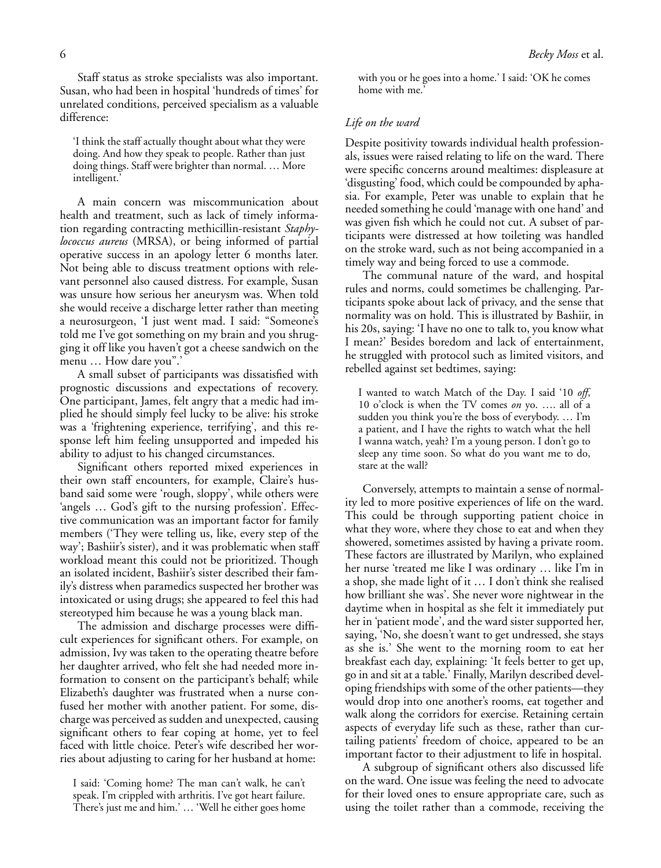Staff status as stroke specialists was also important. Susan, who had been in hospital 'hundreds of times' for unrelated conditions, perceived specialism as a valuable difference:

'I think the staff actually thought about what they were doing. And how they speak to people. Rather than just doing things. Staff were brighter than normal. … More intelligent.

A main concern was miscommunication about health and treatment, such as lack of timely information regarding contracting methicillin-resistant *Staphylococcus aureus* (MRSA), or being informed of partial operative success in an apology letter 6 months later. Not being able to discuss treatment options with relevant personnel also caused distress. For example, Susan was unsure how serious her aneurysm was. When told she would receive a discharge letter rather than meeting a neurosurgeon, 'I just went mad. I said: "Someone's told me I've got something on my brain and you shrugging it off like you haven't got a cheese sandwich on the menu … How dare you".'

A small subset of participants was dissatisfied with prognostic discussions and expectations of recovery. One participant, James, felt angry that a medic had implied he should simply feel lucky to be alive: his stroke was a 'frightening experience, terrifying', and this response left him feeling unsupported and impeded his ability to adjust to his changed circumstances.

Significant others reported mixed experiences in their own staff encounters, for example, Claire's husband said some were 'rough, sloppy', while others were 'angels … God's gift to the nursing profession'. Effective communication was an important factor for family members ('They were telling us, like, every step of the way'; Bashiir's sister), and it was problematic when staff workload meant this could not be prioritized. Though an isolated incident, Bashiir's sister described their family's distress when paramedics suspected her brother was intoxicated or using drugs; she appeared to feel this had stereotyped him because he was a young black man.

The admission and discharge processes were difficult experiences for significant others. For example, on admission, Ivy was taken to the operating theatre before her daughter arrived, who felt she had needed more information to consent on the participant's behalf; while Elizabeth's daughter was frustrated when a nurse confused her mother with another patient. For some, discharge was perceived as sudden and unexpected, causing significant others to fear coping at home, yet to feel faced with little choice. Peter's wife described her worries about adjusting to caring for her husband at home:

with you or he goes into a home.' I said: 'OK he comes home with me.'

# *Life on the ward*

Despite positivity towards individual health professionals, issues were raised relating to life on the ward. There were specific concerns around mealtimes: displeasure at 'disgusting' food, which could be compounded by aphasia. For example, Peter was unable to explain that he needed something he could 'manage with one hand' and was given fish which he could not cut. A subset of participants were distressed at how toileting was handled on the stroke ward, such as not being accompanied in a timely way and being forced to use a commode.

The communal nature of the ward, and hospital rules and norms, could sometimes be challenging. Participants spoke about lack of privacy, and the sense that normality was on hold. This is illustrated by Bashiir, in his 20s, saying: 'I have no one to talk to, you know what I mean?' Besides boredom and lack of entertainment, he struggled with protocol such as limited visitors, and rebelled against set bedtimes, saying:

I wanted to watch Match of the Day. I said '10 *off*, 10 o'clock is when the TV comes *on* yo. …. all of a sudden you think you're the boss of everybody. … I'm a patient, and I have the rights to watch what the hell I wanna watch, yeah? I'm a young person. I don't go to sleep any time soon. So what do you want me to do, stare at the wall?

Conversely, attempts to maintain a sense of normality led to more positive experiences of life on the ward. This could be through supporting patient choice in what they wore, where they chose to eat and when they showered, sometimes assisted by having a private room. These factors are illustrated by Marilyn, who explained her nurse 'treated me like I was ordinary … like I'm in a shop, she made light of it … I don't think she realised how brilliant she was'. She never wore nightwear in the daytime when in hospital as she felt it immediately put her in 'patient mode', and the ward sister supported her, saying, 'No, she doesn't want to get undressed, she stays as she is.' She went to the morning room to eat her breakfast each day, explaining: 'It feels better to get up, go in and sit at a table.' Finally, Marilyn described developing friendships with some of the other patients—they would drop into one another's rooms, eat together and walk along the corridors for exercise. Retaining certain aspects of everyday life such as these, rather than curtailing patients' freedom of choice, appeared to be an important factor to their adjustment to life in hospital.

A subgroup of significant others also discussed life on the ward. One issue was feeling the need to advocate for their loved ones to ensure appropriate care, such as using the toilet rather than a commode, receiving the

I said: 'Coming home? The man can't walk, he can't speak. I'm crippled with arthritis. I've got heart failure. There's just me and him.' … 'Well he either goes home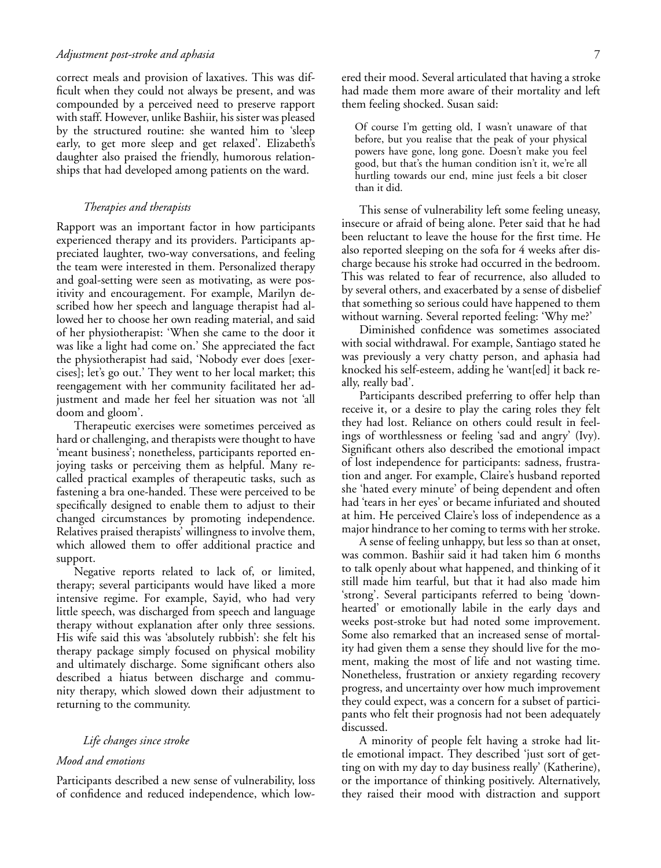#### *Adjustment post-stroke and aphasia* 7

correct meals and provision of laxatives. This was difficult when they could not always be present, and was compounded by a perceived need to preserve rapport with staff. However, unlike Bashiir, his sister was pleased by the structured routine: she wanted him to 'sleep early, to get more sleep and get relaxed'. Elizabeth's daughter also praised the friendly, humorous relationships that had developed among patients on the ward.

# *Therapies and therapists*

Rapport was an important factor in how participants experienced therapy and its providers. Participants appreciated laughter, two-way conversations, and feeling the team were interested in them. Personalized therapy and goal-setting were seen as motivating, as were positivity and encouragement. For example, Marilyn described how her speech and language therapist had allowed her to choose her own reading material, and said of her physiotherapist: 'When she came to the door it was like a light had come on.' She appreciated the fact the physiotherapist had said, 'Nobody ever does [exercises]; let's go out.' They went to her local market; this reengagement with her community facilitated her adjustment and made her feel her situation was not 'all doom and gloom'.

Therapeutic exercises were sometimes perceived as hard or challenging, and therapists were thought to have 'meant business'; nonetheless, participants reported enjoying tasks or perceiving them as helpful. Many recalled practical examples of therapeutic tasks, such as fastening a bra one-handed. These were perceived to be specifically designed to enable them to adjust to their changed circumstances by promoting independence. Relatives praised therapists' willingness to involve them, which allowed them to offer additional practice and support.

Negative reports related to lack of, or limited, therapy; several participants would have liked a more intensive regime. For example, Sayid, who had very little speech, was discharged from speech and language therapy without explanation after only three sessions. His wife said this was 'absolutely rubbish': she felt his therapy package simply focused on physical mobility and ultimately discharge. Some significant others also described a hiatus between discharge and community therapy, which slowed down their adjustment to returning to the community.

## *Life changes since stroke*

#### *Mood and emotions*

Participants described a new sense of vulnerability, loss of confidence and reduced independence, which lowered their mood. Several articulated that having a stroke had made them more aware of their mortality and left them feeling shocked. Susan said:

Of course I'm getting old, I wasn't unaware of that before, but you realise that the peak of your physical powers have gone, long gone. Doesn't make you feel good, but that's the human condition isn't it, we're all hurtling towards our end, mine just feels a bit closer than it did.

This sense of vulnerability left some feeling uneasy, insecure or afraid of being alone. Peter said that he had been reluctant to leave the house for the first time. He also reported sleeping on the sofa for 4 weeks after discharge because his stroke had occurred in the bedroom. This was related to fear of recurrence, also alluded to by several others, and exacerbated by a sense of disbelief that something so serious could have happened to them without warning. Several reported feeling: 'Why me?'

Diminished confidence was sometimes associated with social withdrawal. For example, Santiago stated he was previously a very chatty person, and aphasia had knocked his self-esteem, adding he 'want[ed] it back really, really bad'.

Participants described preferring to offer help than receive it, or a desire to play the caring roles they felt they had lost. Reliance on others could result in feelings of worthlessness or feeling 'sad and angry' (Ivy). Significant others also described the emotional impact of lost independence for participants: sadness, frustration and anger. For example, Claire's husband reported she 'hated every minute' of being dependent and often had 'tears in her eyes' or became infuriated and shouted at him. He perceived Claire's loss of independence as a major hindrance to her coming to terms with her stroke.

A sense of feeling unhappy, but less so than at onset, was common. Bashiir said it had taken him 6 months to talk openly about what happened, and thinking of it still made him tearful, but that it had also made him 'strong'. Several participants referred to being 'downhearted' or emotionally labile in the early days and weeks post-stroke but had noted some improvement. Some also remarked that an increased sense of mortality had given them a sense they should live for the moment, making the most of life and not wasting time. Nonetheless, frustration or anxiety regarding recovery progress, and uncertainty over how much improvement they could expect, was a concern for a subset of participants who felt their prognosis had not been adequately discussed.

A minority of people felt having a stroke had little emotional impact. They described 'just sort of getting on with my day to day business really' (Katherine), or the importance of thinking positively. Alternatively, they raised their mood with distraction and support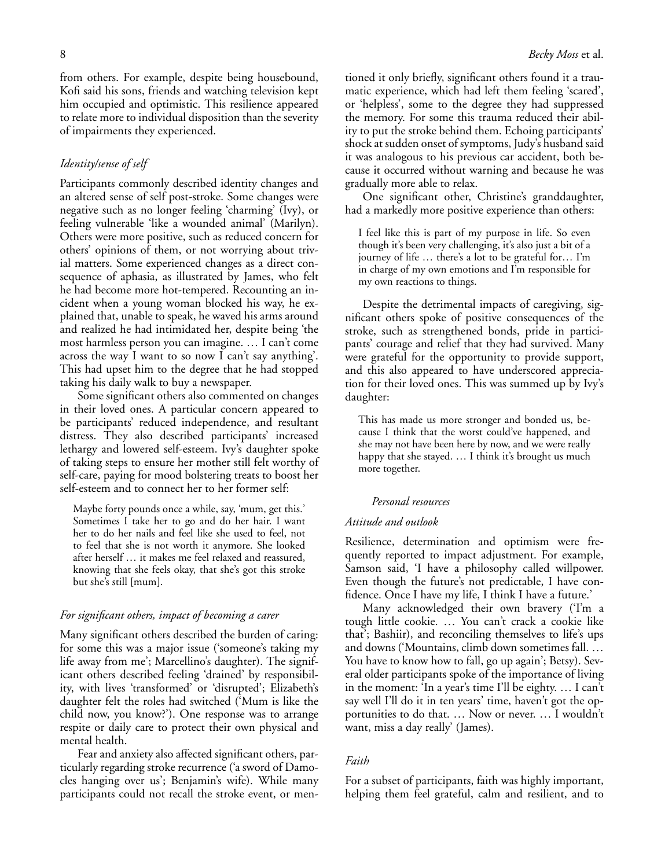from others. For example, despite being housebound, Kofi said his sons, friends and watching television kept him occupied and optimistic. This resilience appeared to relate more to individual disposition than the severity of impairments they experienced.

## *Identity/sense of self*

Participants commonly described identity changes and an altered sense of self post-stroke. Some changes were negative such as no longer feeling 'charming' (Ivy), or feeling vulnerable 'like a wounded animal' (Marilyn). Others were more positive, such as reduced concern for others' opinions of them, or not worrying about trivial matters. Some experienced changes as a direct consequence of aphasia, as illustrated by James, who felt he had become more hot-tempered. Recounting an incident when a young woman blocked his way, he explained that, unable to speak, he waved his arms around and realized he had intimidated her, despite being 'the most harmless person you can imagine. … I can't come across the way I want to so now I can't say anything'. This had upset him to the degree that he had stopped taking his daily walk to buy a newspaper.

Some significant others also commented on changes in their loved ones. A particular concern appeared to be participants' reduced independence, and resultant distress. They also described participants' increased lethargy and lowered self-esteem. Ivy's daughter spoke of taking steps to ensure her mother still felt worthy of self-care, paying for mood bolstering treats to boost her self-esteem and to connect her to her former self:

Maybe forty pounds once a while, say, 'mum, get this.' Sometimes I take her to go and do her hair. I want her to do her nails and feel like she used to feel, not to feel that she is not worth it anymore. She looked after herself … it makes me feel relaxed and reassured, knowing that she feels okay, that she's got this stroke but she's still [mum].

## *For significant others, impact of becoming a carer*

Many significant others described the burden of caring: for some this was a major issue ('someone's taking my life away from me'; Marcellino's daughter). The significant others described feeling 'drained' by responsibility, with lives 'transformed' or 'disrupted'; Elizabeth's daughter felt the roles had switched ('Mum is like the child now, you know?'). One response was to arrange respite or daily care to protect their own physical and mental health.

Fear and anxiety also affected significant others, particularly regarding stroke recurrence ('a sword of Damocles hanging over us'; Benjamin's wife). While many participants could not recall the stroke event, or mentioned it only briefly, significant others found it a traumatic experience, which had left them feeling 'scared', or 'helpless', some to the degree they had suppressed the memory. For some this trauma reduced their ability to put the stroke behind them. Echoing participants' shock at sudden onset of symptoms, Judy's husband said it was analogous to his previous car accident, both because it occurred without warning and because he was gradually more able to relax.

One significant other, Christine's granddaughter, had a markedly more positive experience than others:

I feel like this is part of my purpose in life. So even though it's been very challenging, it's also just a bit of a journey of life … there's a lot to be grateful for… I'm in charge of my own emotions and I'm responsible for my own reactions to things.

Despite the detrimental impacts of caregiving, significant others spoke of positive consequences of the stroke, such as strengthened bonds, pride in participants' courage and relief that they had survived. Many were grateful for the opportunity to provide support, and this also appeared to have underscored appreciation for their loved ones. This was summed up by Ivy's daughter:

This has made us more stronger and bonded us, because I think that the worst could've happened, and she may not have been here by now, and we were really happy that she stayed. ... I think it's brought us much more together.

# *Personal resources*

# *Attitude and outlook*

Resilience, determination and optimism were frequently reported to impact adjustment. For example, Samson said, 'I have a philosophy called willpower. Even though the future's not predictable, I have confidence. Once I have my life, I think I have a future.'

Many acknowledged their own bravery ('I'm a tough little cookie. … You can't crack a cookie like that'; Bashiir), and reconciling themselves to life's ups and downs ('Mountains, climb down sometimes fall. … You have to know how to fall, go up again'; Betsy). Several older participants spoke of the importance of living in the moment: 'In a year's time I'll be eighty. … I can't say well I'll do it in ten years' time, haven't got the opportunities to do that. … Now or never. … I wouldn't want, miss a day really' (James).

#### *Faith*

For a subset of participants, faith was highly important, helping them feel grateful, calm and resilient, and to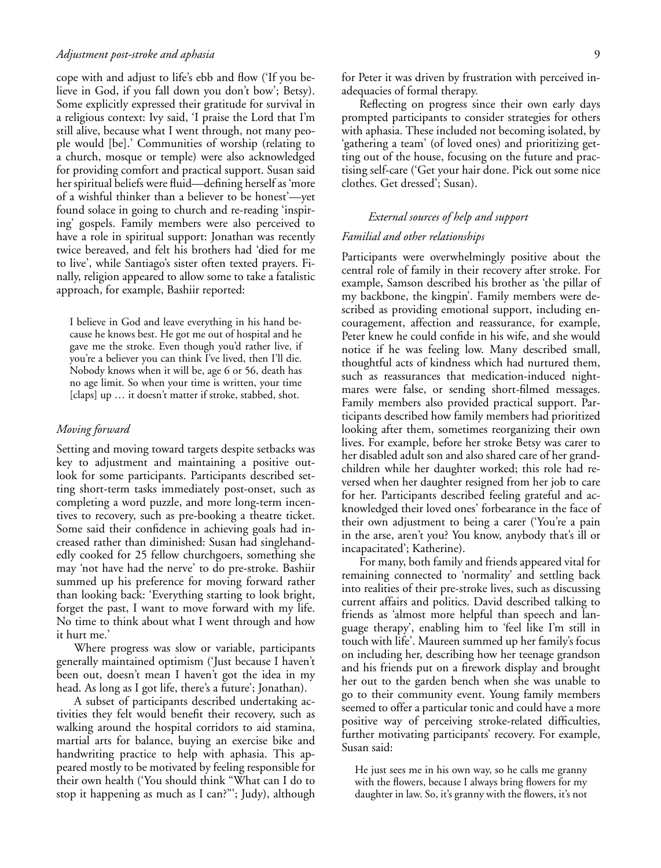### *Adjustment post-stroke and aphasia* 9

cope with and adjust to life's ebb and flow ('If you believe in God, if you fall down you don't bow'; Betsy). Some explicitly expressed their gratitude for survival in a religious context: Ivy said, 'I praise the Lord that I'm still alive, because what I went through, not many people would [be].' Communities of worship (relating to a church, mosque or temple) were also acknowledged for providing comfort and practical support. Susan said her spiritual beliefs were fluid—defining herself as 'more of a wishful thinker than a believer to be honest'—yet found solace in going to church and re-reading 'inspiring' gospels. Family members were also perceived to have a role in spiritual support: Jonathan was recently twice bereaved, and felt his brothers had 'died for me to live', while Santiago's sister often texted prayers. Finally, religion appeared to allow some to take a fatalistic approach, for example, Bashiir reported:

I believe in God and leave everything in his hand because he knows best. He got me out of hospital and he gave me the stroke. Even though you'd rather live, if you're a believer you can think I've lived, then I'll die. Nobody knows when it will be, age 6 or 56, death has no age limit. So when your time is written, your time [claps] up … it doesn't matter if stroke, stabbed, shot.

# *Moving forward*

Setting and moving toward targets despite setbacks was key to adjustment and maintaining a positive outlook for some participants. Participants described setting short-term tasks immediately post-onset, such as completing a word puzzle, and more long-term incentives to recovery, such as pre-booking a theatre ticket. Some said their confidence in achieving goals had increased rather than diminished: Susan had singlehandedly cooked for 25 fellow churchgoers, something she may 'not have had the nerve' to do pre-stroke. Bashiir summed up his preference for moving forward rather than looking back: 'Everything starting to look bright, forget the past, I want to move forward with my life. No time to think about what I went through and how it hurt me.'

Where progress was slow or variable, participants generally maintained optimism ('Just because I haven't been out, doesn't mean I haven't got the idea in my head. As long as I got life, there's a future'; Jonathan).

A subset of participants described undertaking activities they felt would benefit their recovery, such as walking around the hospital corridors to aid stamina, martial arts for balance, buying an exercise bike and handwriting practice to help with aphasia. This appeared mostly to be motivated by feeling responsible for their own health ('You should think "What can I do to stop it happening as much as I can?"'; Judy), although for Peter it was driven by frustration with perceived inadequacies of formal therapy.

Reflecting on progress since their own early days prompted participants to consider strategies for others with aphasia. These included not becoming isolated, by 'gathering a team' (of loved ones) and prioritizing getting out of the house, focusing on the future and practising self-care ('Get your hair done. Pick out some nice clothes. Get dressed'; Susan).

# *External sources of help and support*

#### *Familial and other relationships*

Participants were overwhelmingly positive about the central role of family in their recovery after stroke. For example, Samson described his brother as 'the pillar of my backbone, the kingpin'. Family members were described as providing emotional support, including encouragement, affection and reassurance, for example, Peter knew he could confide in his wife, and she would notice if he was feeling low. Many described small, thoughtful acts of kindness which had nurtured them, such as reassurances that medication-induced nightmares were false, or sending short-filmed messages. Family members also provided practical support. Participants described how family members had prioritized looking after them, sometimes reorganizing their own lives. For example, before her stroke Betsy was carer to her disabled adult son and also shared care of her grandchildren while her daughter worked; this role had reversed when her daughter resigned from her job to care for her. Participants described feeling grateful and acknowledged their loved ones' forbearance in the face of their own adjustment to being a carer ('You're a pain in the arse, aren't you? You know, anybody that's ill or incapacitated'; Katherine).

For many, both family and friends appeared vital for remaining connected to 'normality' and settling back into realities of their pre-stroke lives, such as discussing current affairs and politics. David described talking to friends as 'almost more helpful than speech and language therapy', enabling him to 'feel like I'm still in touch with life'. Maureen summed up her family's focus on including her, describing how her teenage grandson and his friends put on a firework display and brought her out to the garden bench when she was unable to go to their community event. Young family members seemed to offer a particular tonic and could have a more positive way of perceiving stroke-related difficulties, further motivating participants' recovery. For example, Susan said:

He just sees me in his own way, so he calls me granny with the flowers, because I always bring flowers for my daughter in law. So, it's granny with the flowers, it's not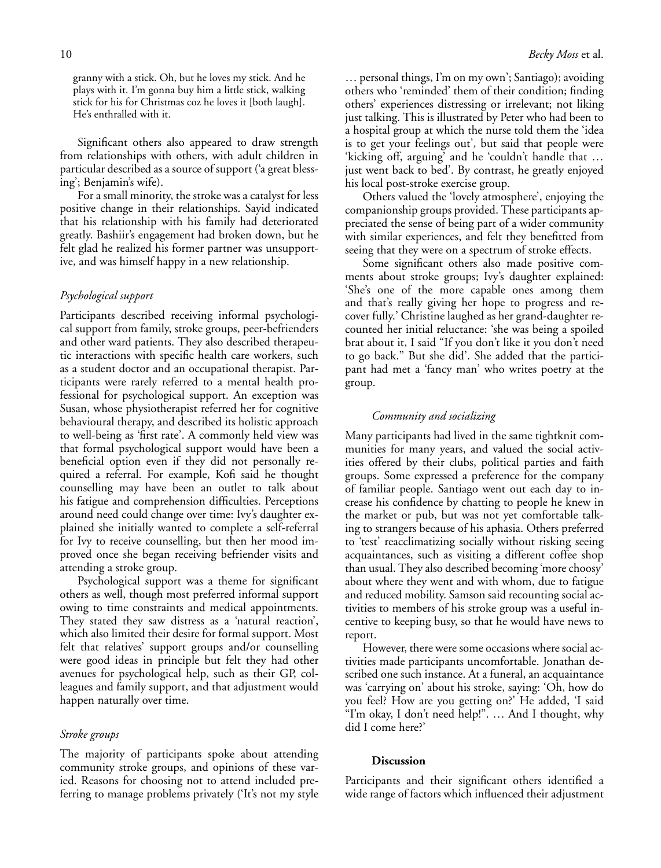Significant others also appeared to draw strength from relationships with others, with adult children in particular described as a source of support ('a great blessing'; Benjamin's wife).

For a small minority, the stroke was a catalyst for less positive change in their relationships. Sayid indicated that his relationship with his family had deteriorated greatly. Bashiir's engagement had broken down, but he felt glad he realized his former partner was unsupportive, and was himself happy in a new relationship.

# *Psychological support*

Participants described receiving informal psychological support from family, stroke groups, peer-befrienders and other ward patients. They also described therapeutic interactions with specific health care workers, such as a student doctor and an occupational therapist. Participants were rarely referred to a mental health professional for psychological support. An exception was Susan, whose physiotherapist referred her for cognitive behavioural therapy, and described its holistic approach to well-being as 'first rate'. A commonly held view was that formal psychological support would have been a beneficial option even if they did not personally required a referral. For example, Kofi said he thought counselling may have been an outlet to talk about his fatigue and comprehension difficulties. Perceptions around need could change over time: Ivy's daughter explained she initially wanted to complete a self-referral for Ivy to receive counselling, but then her mood improved once she began receiving befriender visits and attending a stroke group.

Psychological support was a theme for significant others as well, though most preferred informal support owing to time constraints and medical appointments. They stated they saw distress as a 'natural reaction', which also limited their desire for formal support. Most felt that relatives' support groups and/or counselling were good ideas in principle but felt they had other avenues for psychological help, such as their GP, colleagues and family support, and that adjustment would happen naturally over time.

## *Stroke groups*

The majority of participants spoke about attending community stroke groups, and opinions of these varied. Reasons for choosing not to attend included preferring to manage problems privately ('It's not my style … personal things, I'm on my own'; Santiago); avoiding others who 'reminded' them of their condition; finding others' experiences distressing or irrelevant; not liking just talking. This is illustrated by Peter who had been to a hospital group at which the nurse told them the 'idea is to get your feelings out', but said that people were 'kicking off, arguing' and he 'couldn't handle that … just went back to bed'. By contrast, he greatly enjoyed his local post-stroke exercise group.

Others valued the 'lovely atmosphere', enjoying the companionship groups provided. These participants appreciated the sense of being part of a wider community with similar experiences, and felt they benefitted from seeing that they were on a spectrum of stroke effects.

Some significant others also made positive comments about stroke groups; Ivy's daughter explained: 'She's one of the more capable ones among them and that's really giving her hope to progress and recover fully.' Christine laughed as her grand-daughter recounted her initial reluctance: 'she was being a spoiled brat about it, I said "If you don't like it you don't need to go back." But she did'. She added that the participant had met a 'fancy man' who writes poetry at the group.

## *Community and socializing*

Many participants had lived in the same tightknit communities for many years, and valued the social activities offered by their clubs, political parties and faith groups. Some expressed a preference for the company of familiar people. Santiago went out each day to increase his confidence by chatting to people he knew in the market or pub, but was not yet comfortable talking to strangers because of his aphasia. Others preferred to 'test' reacclimatizing socially without risking seeing acquaintances, such as visiting a different coffee shop than usual. They also described becoming 'more choosy' about where they went and with whom, due to fatigue and reduced mobility. Samson said recounting social activities to members of his stroke group was a useful incentive to keeping busy, so that he would have news to report.

However, there were some occasions where social activities made participants uncomfortable. Jonathan described one such instance. At a funeral, an acquaintance was 'carrying on' about his stroke, saying: 'Oh, how do you feel? How are you getting on?' He added, 'I said "I'm okay, I don't need help!". … And I thought, why did I come here?'

## **Discussion**

Participants and their significant others identified a wide range of factors which influenced their adjustment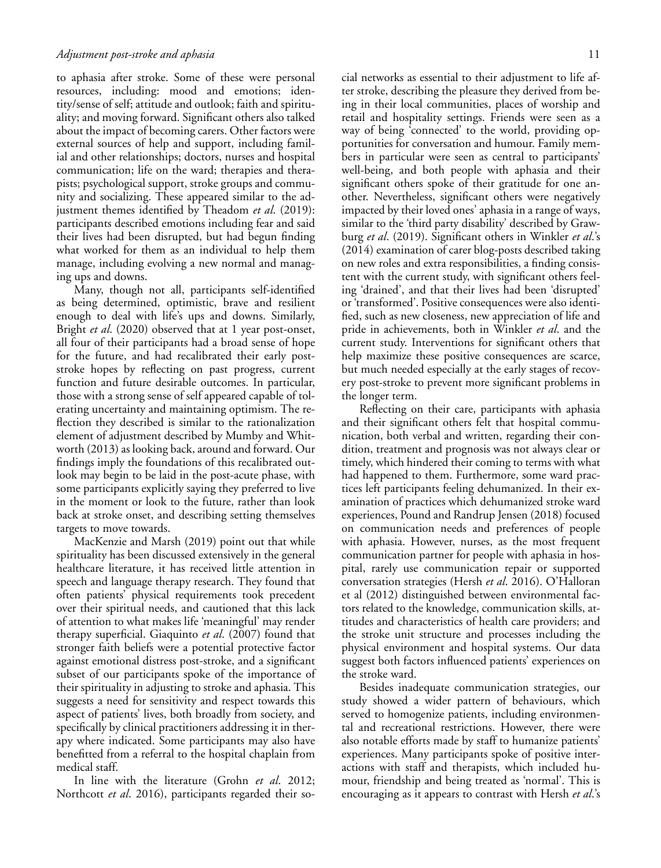to aphasia after stroke. Some of these were personal resources, including: mood and emotions; identity/sense of self; attitude and outlook; faith and spirituality; and moving forward. Significant others also talked about the impact of becoming carers. Other factors were external sources of help and support, including familial and other relationships; doctors, nurses and hospital communication; life on the ward; therapies and therapists; psychological support, stroke groups and community and socializing. These appeared similar to the adjustment themes identified by Theadom *et al*. (2019): participants described emotions including fear and said their lives had been disrupted, but had begun finding what worked for them as an individual to help them manage, including evolving a new normal and managing ups and downs.

Many, though not all, participants self-identified as being determined, optimistic, brave and resilient enough to deal with life's ups and downs. Similarly, Bright *et al*. (2020) observed that at 1 year post-onset, all four of their participants had a broad sense of hope for the future, and had recalibrated their early poststroke hopes by reflecting on past progress, current function and future desirable outcomes. In particular, those with a strong sense of self appeared capable of tolerating uncertainty and maintaining optimism. The reflection they described is similar to the rationalization element of adjustment described by Mumby and Whitworth (2013) as looking back, around and forward. Our findings imply the foundations of this recalibrated outlook may begin to be laid in the post-acute phase, with some participants explicitly saying they preferred to live in the moment or look to the future, rather than look back at stroke onset, and describing setting themselves targets to move towards.

MacKenzie and Marsh (2019) point out that while spirituality has been discussed extensively in the general healthcare literature, it has received little attention in speech and language therapy research. They found that often patients' physical requirements took precedent over their spiritual needs, and cautioned that this lack of attention to what makes life 'meaningful' may render therapy superficial. Giaquinto *et al*. (2007) found that stronger faith beliefs were a potential protective factor against emotional distress post-stroke, and a significant subset of our participants spoke of the importance of their spirituality in adjusting to stroke and aphasia. This suggests a need for sensitivity and respect towards this aspect of patients' lives, both broadly from society, and specifically by clinical practitioners addressing it in therapy where indicated. Some participants may also have benefitted from a referral to the hospital chaplain from medical staff.

In line with the literature (Grohn *et al*. 2012; Northcott *et al*. 2016), participants regarded their social networks as essential to their adjustment to life after stroke, describing the pleasure they derived from being in their local communities, places of worship and retail and hospitality settings. Friends were seen as a way of being 'connected' to the world, providing opportunities for conversation and humour. Family members in particular were seen as central to participants' well-being, and both people with aphasia and their significant others spoke of their gratitude for one another. Nevertheless, significant others were negatively impacted by their loved ones' aphasia in a range of ways, similar to the 'third party disability' described by Grawburg *et al*. (2019). Significant others in Winkler *et al*.'s (2014) examination of carer blog-posts described taking on new roles and extra responsibilities, a finding consistent with the current study, with significant others feeling 'drained', and that their lives had been 'disrupted' or 'transformed'. Positive consequences were also identified, such as new closeness, new appreciation of life and pride in achievements, both in Winkler *et al*. and the current study. Interventions for significant others that help maximize these positive consequences are scarce, but much needed especially at the early stages of recovery post-stroke to prevent more significant problems in the longer term.

Reflecting on their care, participants with aphasia and their significant others felt that hospital communication, both verbal and written, regarding their condition, treatment and prognosis was not always clear or timely, which hindered their coming to terms with what had happened to them. Furthermore, some ward practices left participants feeling dehumanized. In their examination of practices which dehumanized stroke ward experiences, Pound and Randrup Jensen (2018) focused on communication needs and preferences of people with aphasia. However, nurses, as the most frequent communication partner for people with aphasia in hospital, rarely use communication repair or supported conversation strategies (Hersh *et al*. 2016). O'Halloran et al (2012) distinguished between environmental factors related to the knowledge, communication skills, attitudes and characteristics of health care providers; and the stroke unit structure and processes including the physical environment and hospital systems. Our data suggest both factors influenced patients' experiences on the stroke ward.

Besides inadequate communication strategies, our study showed a wider pattern of behaviours, which served to homogenize patients, including environmental and recreational restrictions. However, there were also notable efforts made by staff to humanize patients' experiences. Many participants spoke of positive interactions with staff and therapists, which included humour, friendship and being treated as 'normal'. This is encouraging as it appears to contrast with Hersh *et al*.'s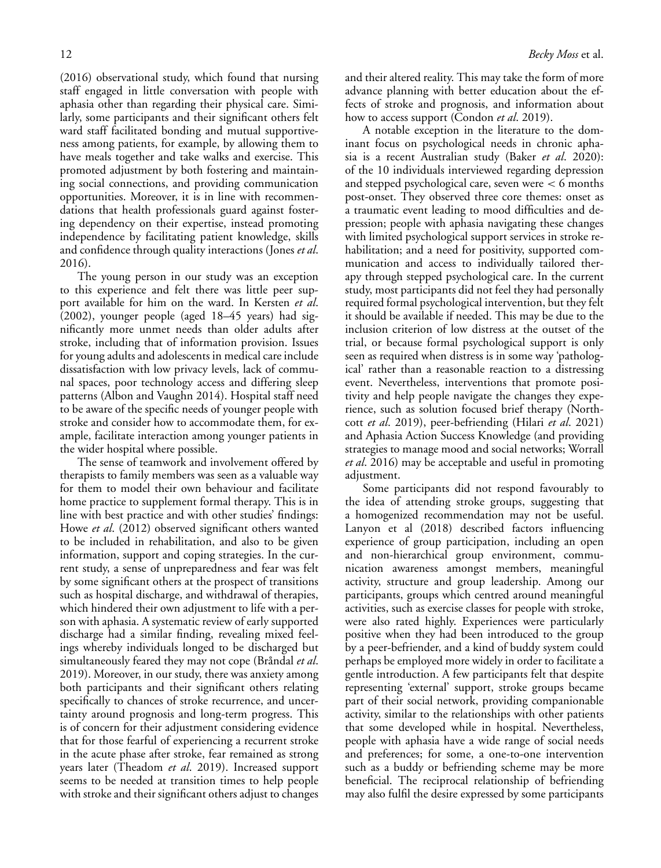(2016) observational study, which found that nursing staff engaged in little conversation with people with aphasia other than regarding their physical care. Similarly, some participants and their significant others felt ward staff facilitated bonding and mutual supportiveness among patients, for example, by allowing them to have meals together and take walks and exercise. This promoted adjustment by both fostering and maintaining social connections, and providing communication opportunities. Moreover, it is in line with recommendations that health professionals guard against fostering dependency on their expertise, instead promoting independence by facilitating patient knowledge, skills and confidence through quality interactions (Jones *et al*. 2016).

The young person in our study was an exception to this experience and felt there was little peer support available for him on the ward. In Kersten *et al*. (2002), younger people (aged 18–45 years) had significantly more unmet needs than older adults after stroke, including that of information provision. Issues for young adults and adolescents in medical care include dissatisfaction with low privacy levels, lack of communal spaces, poor technology access and differing sleep patterns (Albon and Vaughn 2014). Hospital staff need to be aware of the specific needs of younger people with stroke and consider how to accommodate them, for example, facilitate interaction among younger patients in the wider hospital where possible.

The sense of teamwork and involvement offered by therapists to family members was seen as a valuable way for them to model their own behaviour and facilitate home practice to supplement formal therapy. This is in line with best practice and with other studies' findings: Howe *et al.* (2012) observed significant others wanted to be included in rehabilitation, and also to be given information, support and coping strategies. In the current study, a sense of unpreparedness and fear was felt by some significant others at the prospect of transitions such as hospital discharge, and withdrawal of therapies, which hindered their own adjustment to life with a person with aphasia. A systematic review of early supported discharge had a similar finding, revealing mixed feelings whereby individuals longed to be discharged but simultaneously feared they may not cope (Bråndal *et al*. 2019). Moreover, in our study, there was anxiety among both participants and their significant others relating specifically to chances of stroke recurrence, and uncertainty around prognosis and long-term progress. This is of concern for their adjustment considering evidence that for those fearful of experiencing a recurrent stroke in the acute phase after stroke, fear remained as strong years later (Theadom *et al*. 2019). Increased support seems to be needed at transition times to help people with stroke and their significant others adjust to changes

and their altered reality. This may take the form of more advance planning with better education about the effects of stroke and prognosis, and information about how to access support (Condon *et al*. 2019).

A notable exception in the literature to the dominant focus on psychological needs in chronic aphasia is a recent Australian study (Baker *et al*. 2020): of the 10 individuals interviewed regarding depression and stepped psychological care, seven were *<* 6 months post-onset. They observed three core themes: onset as a traumatic event leading to mood difficulties and depression; people with aphasia navigating these changes with limited psychological support services in stroke rehabilitation; and a need for positivity, supported communication and access to individually tailored therapy through stepped psychological care. In the current study, most participants did not feel they had personally required formal psychological intervention, but they felt it should be available if needed. This may be due to the inclusion criterion of low distress at the outset of the trial, or because formal psychological support is only seen as required when distress is in some way 'pathological' rather than a reasonable reaction to a distressing event. Nevertheless, interventions that promote positivity and help people navigate the changes they experience, such as solution focused brief therapy (Northcott *et al*. 2019), peer-befriending (Hilari *et al*. 2021) and Aphasia Action Success Knowledge (and providing strategies to manage mood and social networks; Worrall *et al*. 2016) may be acceptable and useful in promoting adjustment.

Some participants did not respond favourably to the idea of attending stroke groups, suggesting that a homogenized recommendation may not be useful. Lanyon et al (2018) described factors influencing experience of group participation, including an open and non-hierarchical group environment, communication awareness amongst members, meaningful activity, structure and group leadership. Among our participants, groups which centred around meaningful activities, such as exercise classes for people with stroke, were also rated highly. Experiences were particularly positive when they had been introduced to the group by a peer-befriender, and a kind of buddy system could perhaps be employed more widely in order to facilitate a gentle introduction. A few participants felt that despite representing 'external' support, stroke groups became part of their social network, providing companionable activity, similar to the relationships with other patients that some developed while in hospital. Nevertheless, people with aphasia have a wide range of social needs and preferences; for some, a one-to-one intervention such as a buddy or befriending scheme may be more beneficial. The reciprocal relationship of befriending may also fulfil the desire expressed by some participants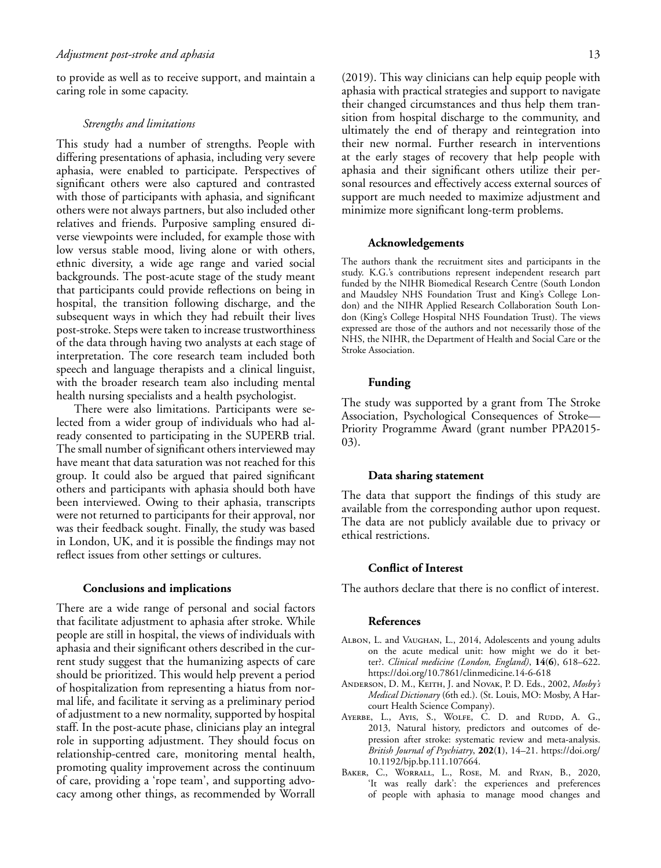to provide as well as to receive support, and maintain a caring role in some capacity.

#### *Strengths and limitations*

This study had a number of strengths. People with differing presentations of aphasia, including very severe aphasia, were enabled to participate. Perspectives of significant others were also captured and contrasted with those of participants with aphasia, and significant others were not always partners, but also included other relatives and friends. Purposive sampling ensured diverse viewpoints were included, for example those with low versus stable mood, living alone or with others, ethnic diversity, a wide age range and varied social backgrounds. The post-acute stage of the study meant that participants could provide reflections on being in hospital, the transition following discharge, and the subsequent ways in which they had rebuilt their lives post-stroke. Steps were taken to increase trustworthiness of the data through having two analysts at each stage of interpretation. The core research team included both speech and language therapists and a clinical linguist, with the broader research team also including mental health nursing specialists and a health psychologist.

There were also limitations. Participants were selected from a wider group of individuals who had already consented to participating in the SUPERB trial. The small number of significant others interviewed may have meant that data saturation was not reached for this group. It could also be argued that paired significant others and participants with aphasia should both have been interviewed. Owing to their aphasia, transcripts were not returned to participants for their approval, nor was their feedback sought. Finally, the study was based in London, UK, and it is possible the findings may not reflect issues from other settings or cultures.

# **Conclusions and implications**

There are a wide range of personal and social factors that facilitate adjustment to aphasia after stroke. While people are still in hospital, the views of individuals with aphasia and their significant others described in the current study suggest that the humanizing aspects of care should be prioritized. This would help prevent a period of hospitalization from representing a hiatus from normal life, and facilitate it serving as a preliminary period of adjustment to a new normality, supported by hospital staff. In the post-acute phase, clinicians play an integral role in supporting adjustment. They should focus on relationship-centred care, monitoring mental health, promoting quality improvement across the continuum of care, providing a 'rope team', and supporting advocacy among other things, as recommended by Worrall (2019). This way clinicians can help equip people with aphasia with practical strategies and support to navigate their changed circumstances and thus help them transition from hospital discharge to the community, and ultimately the end of therapy and reintegration into their new normal. Further research in interventions at the early stages of recovery that help people with aphasia and their significant others utilize their personal resources and effectively access external sources of support are much needed to maximize adjustment and minimize more significant long-term problems.

#### **Acknowledgements**

The authors thank the recruitment sites and participants in the study. K.G.'s contributions represent independent research part funded by the NIHR Biomedical Research Centre (South London and Maudsley NHS Foundation Trust and King's College London) and the NIHR Applied Research Collaboration South London (King's College Hospital NHS Foundation Trust). The views expressed are those of the authors and not necessarily those of the NHS, the NIHR, the Department of Health and Social Care or the Stroke Association.

#### **Funding**

The study was supported by a grant from The Stroke Association, Psychological Consequences of Stroke— Priority Programme Award (grant number PPA2015- 03).

## **Data sharing statement**

The data that support the findings of this study are available from the corresponding author upon request. The data are not publicly available due to privacy or ethical restrictions.

## **Conflict of Interest**

The authors declare that there is no conflict of interest.

#### **References**

- Albon, L. and Vaughan, L., 2014, Adolescents and young adults on the acute medical unit: how might we do it better?. *Clinical medicine (London, England)*, **14**(**6**), 618–622. <https://doi.org/10.7861/clinmedicine.14-6-618>
- Anderson, D. M., Keith, J. and Novak, P. D. Eds., 2002, *Mosby's Medical Dictionary* (6th ed.). (St. Louis, MO: Mosby, A Harcourt Health Science Company).
- AYERBE, L., AYIS, S., WOLFE, C. D. and RUDD, A. G., 2013, Natural history, predictors and outcomes of depression after stroke: systematic review and meta-analysis. *British Journal of Psychiatry*, **202**(**1**), 14–21. [https://doi.org/](https://doi.org/10.1192/bjp.bp.111.107664) [10.1192/bjp.bp.111.107664.](https://doi.org/10.1192/bjp.bp.111.107664)
- BAKER, C., WORRALL, L., ROSE, M. and RYAN, B., 2020, 'It was really dark': the experiences and preferences of people with aphasia to manage mood changes and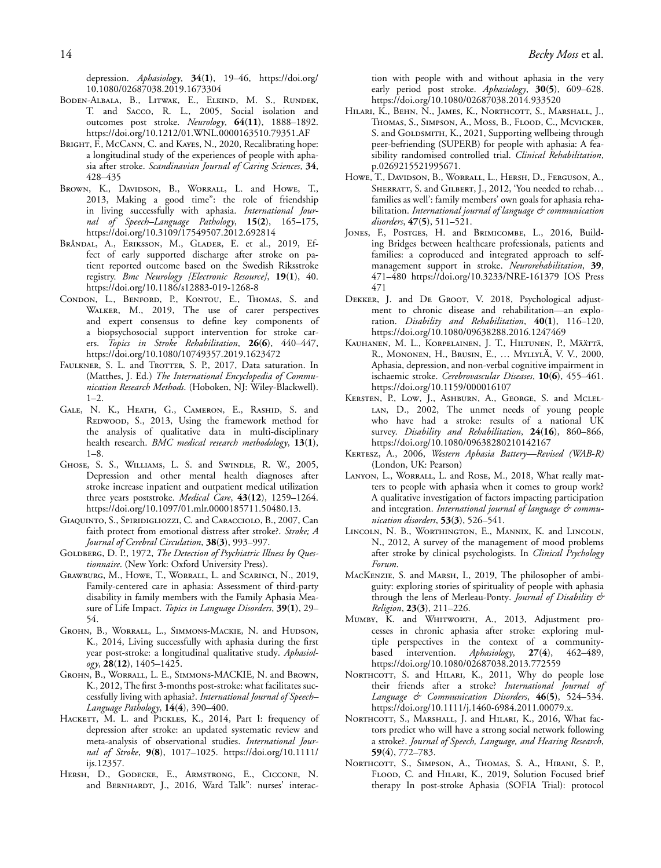depression. *Aphasiology*, **34**(**1**), 19–46, [https://doi.org/](https://doi.org/10.1080/02687038.2019.1673304) [10.1080/02687038.2019.1673304](https://doi.org/10.1080/02687038.2019.1673304)

- Boden-Albala, B., Litwak, E., Elkind, M. S., Rundek, T. and Sacco, R. L., 2005, Social isolation and outcomes post stroke. *Neurology*, **64**(**11**), 1888–1892. <https://doi.org/10.1212/01.WNL.0000163510.79351.AF>
- BRIGHT, F., McCann, C. and Kayes, N., 2020, Recalibrating hope: a longitudinal study of the experiences of people with aphasia after stroke. *Scandinavian Journal of Caring Sciences*, **34**, 428–435
- BROWN, K., DAVIDSON, B., WORRALL, L. and HOWE, T., 2013, Making a good time": the role of friendship in living successfully with aphasia. *International Journal of Speech–Language Pathology*, **15**(**2**), 165–175, <https://doi.org/10.3109/17549507.2012.692814>
- Bråndal, A., Eriksson, M., Glader, E. et al., 2019, Effect of early supported discharge after stroke on patient reported outcome based on the Swedish Riksstroke registry. *Bmc Neurology [Electronic Resource]*, **19**(**1**), 40. <https://doi.org/10.1186/s12883-019-1268-8>
- Condon, L., Benford, P., Kontou, E., Thomas, S. and Walker, M., 2019, The use of carer perspectives and expert consensus to define key components of a biopsychosocial support intervention for stroke carers. *Topics in Stroke Rehabilitation*, **26**(**6**), 440–447, <https://doi.org/10.1080/10749357.2019.1623472>
- FAULKNER, S. L. and TROTTER, S. P., 2017, Data saturation. In (Matthes, J. Ed.) *The International Encyclopedia of Communication Research Methods*. (Hoboken, NJ: Wiley-Blackwell).  $1-2.$
- Gale, N. K., Heath, G., Cameron, E., Rashid, S. and REDWOOD, S., 2013, Using the framework method for the analysis of qualitative data in multi-disciplinary health research. *BMC medical research methodology*, **13**(**1**), 1–8.
- Ghose, S. S., Williams, L. S. and Swindle, R. W., 2005, Depression and other mental health diagnoses after stroke increase inpatient and outpatient medical utilization three years poststroke. *Medical Care*, **43**(**12**), 1259–1264. [https://doi.org/10.1097/01.mlr.0000185711.50480.13.](https://doi.org/10.1097/01.mlr.0000185711.50480.13)
- Giaquinto, S., Spiridigliozzi, C. and Caracciolo, B., 2007, Can faith protect from emotional distress after stroke?. *Stroke; A Journal of Cerebral Circulation*, **38**(**3**), 993–997.
- GOLDBERG, D. P., 1972, *The Detection of Psychiatric Illness by Ouestionnaire*. (New York: Oxford University Press).
- Grawburg, M., Howe, T., Worrall, L. and Scarinci, N., 2019, Family-centered care in aphasia: Assessment of third-party disability in family members with the Family Aphasia Measure of Life Impact. *Topics in Language Disorders*, **39**(**1**), 29– 54.
- GROHN, B., WORRALL, L., SIMMONS-MACKIE, N. and HUDSON, K., 2014, Living successfully with aphasia during the first year post-stroke: a longitudinal qualitative study. *Aphasiology*, **28**(**12**), 1405–1425.
- Grohn, B., Worrall, L. E., Simmons-MACKIE, N. and Brown, K., 2012, The first 3-months post-stroke: what facilitates successfully living with aphasia?. *International Journal of Speech– Language Pathology*, **14**(**4**), 390–400.
- HACKETT, M. L. and PICKLES, K., 2014, Part I: frequency of depression after stroke: an updated systematic review and meta-analysis of observational studies. *International Journal of Stroke*, **9**(**8**), 1017–1025. [https://doi.org/10.1111/](https://doi.org/10.1111/ijs.12357) [ijs.12357.](https://doi.org/10.1111/ijs.12357)
- HERSH, D., GODECKE, E., ARMSTRONG, E., CICCONE, N. and BERNHARDT, J., 2016, Ward Talk": nurses' interac-

tion with people with and without aphasia in the very early period post stroke. *Aphasiology*, **30**(**5**), 609–628. <https://doi.org/10.1080/02687038.2014.933520>

- Hilari, K., Behn, N., James, K., Northcott, S., Marshall, J., Thomas, S., Simpson, A., Moss, B., Flood, C., Mcvicker, S. and GOLDSMITH, K., 2021, Supporting wellbeing through peer-befriending (SUPERB) for people with aphasia: A feasibility randomised controlled trial. *Clinical Rehabilitation*, p.0269215521995671.
- Howe, T., Davidson, B., Worrall, L., Hersh, D., Ferguson, A., SHERRATT, S. and GILBERT, J., 2012, 'You needed to rehab... families as well': family members' own goals for aphasia rehabilitation. *International journal of language & communication disorders*, **47**(**5**), 511–521.
- JONES, F., POSTGES, H. and BRIMICOMBE, L., 2016, Building Bridges between healthcare professionals, patients and families: a coproduced and integrated approach to selfmanagement support in stroke. *Neurorehabilitation*, **39**, 471–480<https://doi.org/10.3233/NRE-161379> IOS Press 471
- DEKKER, J. and DE GROOT, V. 2018, Psychological adjustment to chronic disease and rehabilitation—an exploration. *Disability and Rehabilitation*, **40**(**1**), 116–120, <https://doi.org/10.1080/09638288.2016.1247469>
- Kauhanen, M. L., Korpelainen, J. T., Hiltunen, P., Määttä, R., Mononen, H., Brusin, E., … MyllylÄ, V. V., 2000, Aphasia, depression, and non-verbal cognitive impairment in ischaemic stroke. *Cerebrovascular Diseases*, **10**(**6**), 455–461. <https://doi.org/10.1159/000016107>
- Kersten, P., Low, J., Ashburn, A., George, S. and Mclel-LAN, D., 2002, The unmet needs of young people who have had a stroke: results of a national UK survey. *Disability and Rehabilitation*, **24**(**16**), 860–866, <https://doi.org/10.1080/09638280210142167>
- Kertesz, A., 2006, *Western Aphasia Battery—Revised (WAB-R)* (London, UK: Pearson)
- LANYON, L., WORRALL, L. and ROSE, M., 2018, What really matters to people with aphasia when it comes to group work? A qualitative investigation of factors impacting participation and integration. *International journal of language & communication disorders*, **53**(**3**), 526–541.
- Lincoln, N. B., Worthington, E., Mannix, K. and Lincoln, N., 2012, A survey of the management of mood problems after stroke by clinical psychologists. In *Clinical Psychology Forum*.
- MacKenzie, S. and Marsh, I., 2019, The philosopher of ambiguity: exploring stories of spirituality of people with aphasia through the lens of Merleau-Ponty. *Journal of Disability & Religion*, **23**(**3**), 211–226.
- Mumby, K. and Whitworth, A., 2013, Adjustment processes in chronic aphasia after stroke: exploring multiple perspectives in the context of a communitybased intervention. *Aphasiology*, **27**(**4**), 462–489, <https://doi.org/10.1080/02687038.2013.772559>
- NORTHCOTT, S. and HILARI, K., 2011, Why do people lose their friends after a stroke? *International Journal of Language & Communication Disorders*, **46**(**5**), 524–534. [https://doi.org/10.1111/j.1460-6984.2011.00079.x.](https://doi.org/10.1111/j.1460-6984.2011.00079.x)
- NORTHCOTT, S., MARSHALL, J. and HILARI, K., 2016, What factors predict who will have a strong social network following a stroke?. *Journal of Speech, Language, and Hearing Research*, **59**(**4**), 772–783.
- NORTHCOTT, S., SIMPSON, A., THOMAS, S. A., HIRANI, S. P., FLOOD, C. and HILARI, K., 2019, Solution Focused brief therapy In post-stroke Aphasia (SOFIA Trial): protocol